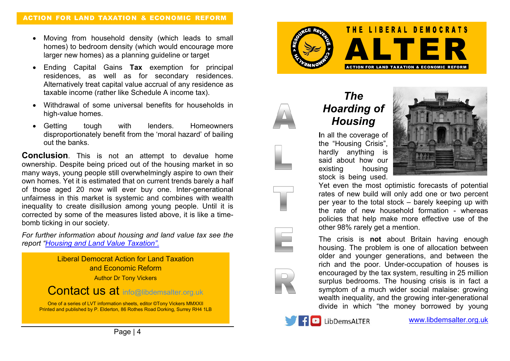- Moving from household density (which leads to small homes) to bedroom density (which would encourage more larger new homes) as a planning guideline or target
- Ending Capital Gains **Tax** exemption for principal residences, as well as for secondary residences. Alternatively treat capital value accrual of any residence as taxable income (rather like Schedule A income tax).
- Withdrawal of some universal benefits for households in high-value homes.
- Getting tough with lenders. Homeowners disproportionately benefit from the 'moral hazard' of bailing out the banks.

**Conclusion**. This is not an attempt to devalue home ownership. Despite being priced out of the housing market in so many ways, young people still overwhelmingly aspire to own their own homes. Yet it is estimated that on current trends barely a half of those aged 20 now will ever buy one. Inter-generational unfairness in this market is systemic and combines with wealth inequality to create disillusion among young people. Until it is corrected by some of the measures listed above, it is like a timebomb ticking in our society.

*For further information about housing and land value tax see the report "Housing and Land Value Taxation".*







# *The Hoarding of Housing*

**I**n all the coverage of the "Housing Crisis", hardly anything is said about how our existing housing stock is being used.



Yet even the most optimistic forecasts of potential rates of new build will only add one or two percent per year to the total stock – barely keeping up with the rate of new household formation - whereas policies that help make more effective use of the other 98% rarely get a mention.

The crisis is **not** about Britain having enough housing. The problem is one of allocation between older and younger generations, and between the rich and the poor. Under-occupation of houses is encouraged by the tax system, resulting in 25 million surplus bedrooms. The housing crisis is in fact a symptom of a much wider social malaise: growing wealth inequality, and the growing inter-generational divide in which "the money borrowed by young

LibDemsALTER

www.libdemsalter.org.uk